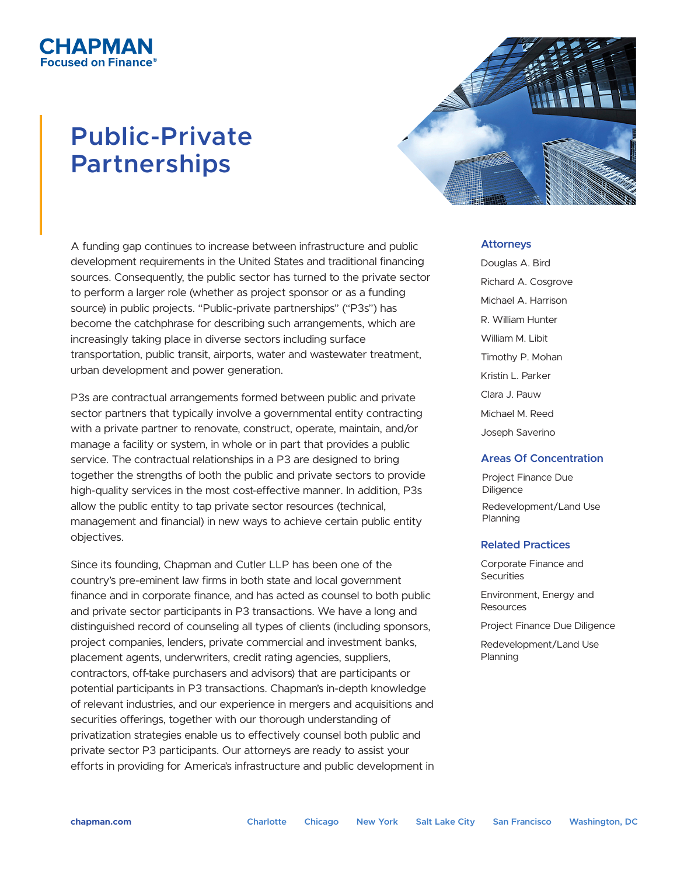# **Public-Private Partnerships**

CHAPMAN ised on Finance®



A funding gap continues to increase between infrastructure and public development requirements in the United States and traditional financing sources. Consequently, the public sector has turned to the private sector to perform a larger role (whether as project sponsor or as a funding source) in public projects. "Public-private partnerships" ("P3s") has become the catchphrase for describing such arrangements, which are increasingly taking place in diverse sectors including surface transportation, public transit, airports, water and wastewater treatment, urban development and power generation.

P3s are contractual arrangements formed between public and private sector partners that typically involve a governmental entity contracting with a private partner to renovate, construct, operate, maintain, and/or manage a facility or system, in whole or in part that provides a public service. The contractual relationships in a P3 are designed to bring together the strengths of both the public and private sectors to provide high-quality services in the most cost-effective manner. In addition, P3s allow the public entity to tap private sector resources (technical, management and financial) in new ways to achieve certain public entity objectives.

Since its founding, Chapman and Cutler LLP has been one of the country's pre-eminent law firms in both state and local government finance and in corporate finance, and has acted as counsel to both public and private sector participants in P3 transactions. We have a long and distinguished record of counseling all types of clients (including sponsors, project companies, lenders, private commercial and investment banks, placement agents, underwriters, credit rating agencies, suppliers, contractors, off-take purchasers and advisors) that are participants or potential participants in P3 transactions. Chapman's in-depth knowledge of relevant industries, and our experience in mergers and acquisitions and securities offerings, together with our thorough understanding of privatization strategies enable us to effectively counsel both public and private sector P3 participants. Our attorneys are ready to assist your efforts in providing for America's infrastructure and public development in

#### **Attorneys**

Douglas A. Bird Richard A. Cosgrove Michael A. Harrison R. William Hunter William M. Libit Timothy P. Mohan Kristin L. Parker Clara J. Pauw Michael M. Reed Joseph Saverino

### **Areas Of Concentration**

Project Finance Due **Diligence** Redevelopment/Land Use Planning

### **Related Practices**

Corporate Finance and **Securities** 

Environment, Energy and Resources

Project Finance Due Diligence

Redevelopment/Land Use Planning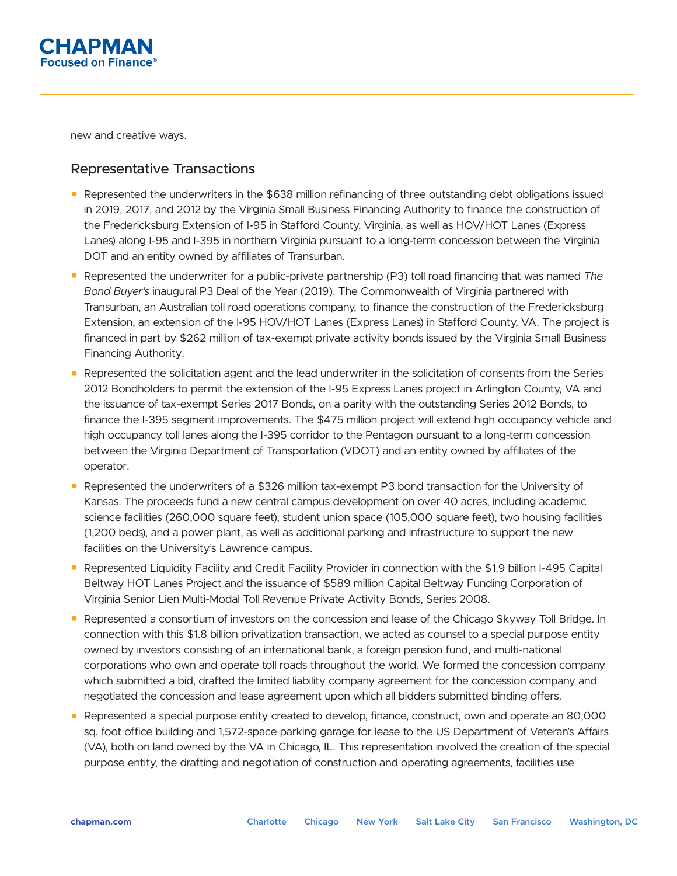

new and creative ways.

## Representative Transactions

- Represented the underwriters in the \$638 million refinancing of three outstanding debt obligations issued in 2019, 2017, and 2012 by the Virginia Small Business Financing Authority to finance the construction of the Fredericksburg Extension of I-95 in Stafford County, Virginia, as well as HOV/HOT Lanes (Express Lanes) along I-95 and I-395 in northern Virginia pursuant to a long-term concession between the Virginia DOT and an entity owned by affiliates of Transurban.
- Represented the underwriter for a public-private partnership (P3) toll road financing that was named *The Bond Buyer's* inaugural P3 Deal of the Year (2019). The Commonwealth of Virginia partnered with Transurban, an Australian toll road operations company, to finance the construction of the Fredericksburg Extension, an extension of the I-95 HOV/HOT Lanes (Express Lanes) in Stafford County, VA. The project is financed in part by \$262 million of tax-exempt private activity bonds issued by the Virginia Small Business Financing Authority.
- Represented the solicitation agent and the lead underwriter in the solicitation of consents from the Series 2012 Bondholders to permit the extension of the I-95 Express Lanes project in Arlington County, VA and the issuance of tax-exempt Series 2017 Bonds, on a parity with the outstanding Series 2012 Bonds, to finance the I-395 segment improvements. The \$475 million project will extend high occupancy vehicle and high occupancy toll lanes along the I-395 corridor to the Pentagon pursuant to a long-term concession between the Virginia Department of Transportation (VDOT) and an entity owned by affiliates of the operator.
- Represented the underwriters of a \$326 million tax-exempt P3 bond transaction for the University of Kansas. The proceeds fund a new central campus development on over 40 acres, including academic science facilities (260,000 square feet), student union space (105,000 square feet), two housing facilities (1,200 beds), and a power plant, as well as additional parking and infrastructure to support the new facilities on the University's Lawrence campus.
- Represented Liquidity Facility and Credit Facility Provider in connection with the \$1.9 billion I-495 Capital Beltway HOT Lanes Project and the issuance of \$589 million Capital Beltway Funding Corporation of Virginia Senior Lien Multi-Modal Toll Revenue Private Activity Bonds, Series 2008.
- Represented a consortium of investors on the concession and lease of the Chicago Skyway Toll Bridge. In connection with this \$1.8 billion privatization transaction, we acted as counsel to a special purpose entity owned by investors consisting of an international bank, a foreign pension fund, and multi-national corporations who own and operate toll roads throughout the world. We formed the concession company which submitted a bid, drafted the limited liability company agreement for the concession company and negotiated the concession and lease agreement upon which all bidders submitted binding offers.
- Represented a special purpose entity created to develop, finance, construct, own and operate an 80,000 sq. foot office building and 1,572-space parking garage for lease to the US Department of Veteran's Affairs (VA), both on land owned by the VA in Chicago, IL. This representation involved the creation of the special purpose entity, the drafting and negotiation of construction and operating agreements, facilities use